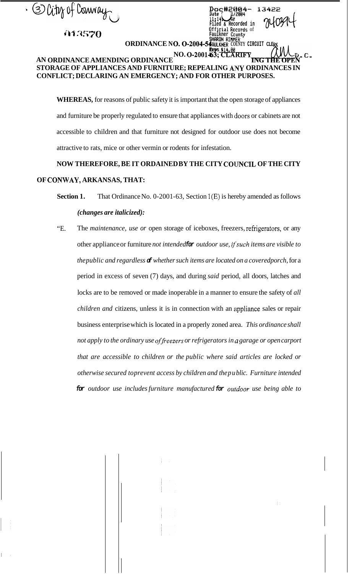<sup>3</sup> City of Connay

**ih?** *.257()* 

## **AN ORDINANCE AMENDING ORDINANCE NO. 0-2001-63; CLARIFY\_ STORAGE OF APPLIANCES AND FURNITURE; REPEALING ANY ORDINANCES IN CONFLICT; DECLARING AN EMERGENCY; AND FOR OTHER PURPOSES.**

**E)t3~#2&3iEiil- 13422** 

 $\overline{c}$ orded in

**Official Records** of<br>**Faulkner County Faulkner Ccuntv HhROk RIkHER** ' **0.0-2004-5AUL~~ER COUNTY CIRCUIT CLE** 

*<u>* $\mu$ *</u>*  $\mu$  */ 2004 // 2004 // 2004 // 2004 // 2004**// 2004**// 2004**// 2004**// 2004**// 2004**// 2004**// 2004**// 2004**// 2004**// 2004**// 2004**// 2004**// 2004**// 2004**// 2004**//* 

**ORDINANCE N** 

**WHEREAS,** for reasons of public safety it is important that the open storage of appliances and furniture be properly regulated to ensure that appliances with doors or cabinets are not accessible to children and that furniture not designed for outdoor use does not become attractive to rats, mice or other vermin or rodents for infestation.

## NOW THEREFORE, BE IT ORDAINED BY THE CITY COUNCIL OF THE CITY **OF CONWAY, ARKANSAS, THAT:**

- **Section 1.** That Ordinance No. 0-2001-63, Section 1(E) is hereby amended as follows *(changes are italicized):*
- "E. The *maintenance, use or* open storage of iceboxes, freezers, refrigerators, or any other appliance or furniture *not intended for outdoor use, ij'such items are visible to the public and regardless of whether such items are located on a coveredporch,* for a period in excess of seven (7) days, and during *said* period, all doors, latches and locks are to be removed or made inoperable in a manner to ensure the safety of *all children and* citizens, unless it is in connection with an appliance sales or repair business enterprise which is located in a properly zoned area. *This ordinance shall not apply to the ordinary use of freezers or refrigerators in a garage or open carport that are accessible to children or the public where said articles are locked or otherwise secured to prevent access by children and the pu blic. Furniture intended for outdoor use includes furniture manufactured for ouidoor use being able to*